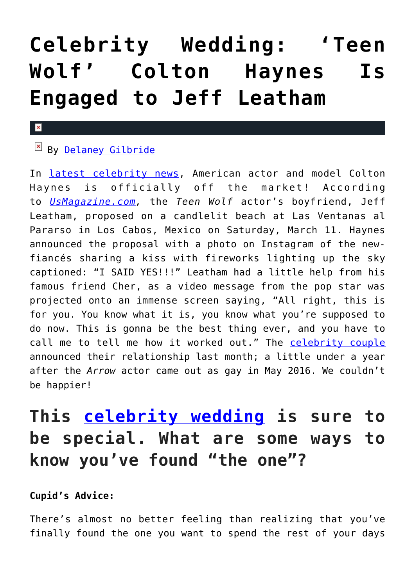# **[Celebrity Wedding: 'Teen](https://cupidspulse.com/117257/celebrity-wedding-colton-haynes-engaged-to-jeff-leatham/) [Wolf' Colton Haynes Is](https://cupidspulse.com/117257/celebrity-wedding-colton-haynes-engaged-to-jeff-leatham/) [Engaged to Jeff Leatham](https://cupidspulse.com/117257/celebrity-wedding-colton-haynes-engaged-to-jeff-leatham/)**

#### $\mathbf{x}$

### By [Delaney Gilbride](http://cupidspulse.com/116956/delaney-gilbride/)

In [latest celebrity news,](http://cupidspulse.com) American actor and model Colton Haynes is officially off the market! According to *[UsMagazine.com,](http://www.usmagazine.com/celebrity-news/news/colton-haynes-gets-engaged-to-jeff-leatham-with-help-from-cher-w471764)* the *Teen Wolf* actor's boyfriend, Jeff Leatham, proposed on a candlelit beach at Las Ventanas al Pararso in Los Cabos, Mexico on Saturday, March 11. Haynes announced the proposal with a photo on Instagram of the newfiancés sharing a kiss with fireworks lighting up the sky captioned: "I SAID YES!!!" Leatham had a little help from his famous friend Cher, as a video message from the pop star was projected onto an immense screen saying, "All right, this is for you. You know what it is, you know what you're supposed to do now. This is gonna be the best thing ever, and you have to call me to tell me how it worked out." The [celebrity couple](http://cupidspulse.com/celebrity-news/celebrity-dating/) announced their relationship last month; a little under a year after the *Arrow* actor came out as gay in May 2016. We couldn't be happier!

### **This [celebrity wedding](http://cupidspulse.com/celebrity-news/celebrity-weddings/) is sure to be special. What are some ways to know you've found "the one"?**

#### **Cupid's Advice:**

There's almost no better feeling than realizing that you've finally found the one you want to spend the rest of your days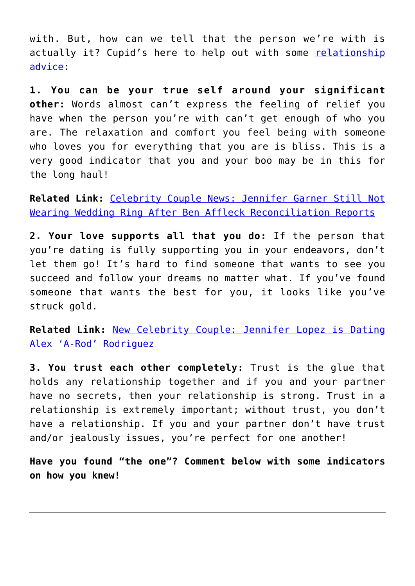with. But, how can we tell that the person we're with is actually it? Cupid's here to help out with some [relationship](http://cupidspulse.com/relationship-experts/) [advice](http://cupidspulse.com/relationship-experts/):

**1. You can be your true self around your significant other:** Words almost can't express the feeling of relief you have when the person you're with can't get enough of who you are. The relaxation and comfort you feel being with someone who loves you for everything that you are is bliss. This is a very good indicator that you and your boo may be in this for the long haul!

**Related Link:** [Celebrity Couple News: Jennifer Garner Still Not](http://cupidspulse.com/117244/celebrity-couple-jennifer-garner-not-wearing-wedding-ring-ben-affleck-reconciliation/) [Wearing Wedding Ring After Ben Affleck Reconciliation Reports](http://cupidspulse.com/117244/celebrity-couple-jennifer-garner-not-wearing-wedding-ring-ben-affleck-reconciliation/)

**2. Your love supports all that you do:** If the person that you're dating is fully supporting you in your endeavors, don't let them go! It's hard to find someone that wants to see you succeed and follow your dreams no matter what. If you've found someone that wants the best for you, it looks like you've struck gold.

**Related Link:** [New Celebrity Couple: Jennifer Lopez is Dating](http://cupidspulse.com/117242/new-celebrity-couple-jennifer-lopez-dating-alex-a-rod-rodriguez/) [Alex 'A-Rod' Rodriguez](http://cupidspulse.com/117242/new-celebrity-couple-jennifer-lopez-dating-alex-a-rod-rodriguez/)

**3. You trust each other completely:** Trust is the glue that holds any relationship together and if you and your partner have no secrets, then your relationship is strong. Trust in a relationship is extremely important; without trust, you don't have a relationship. If you and your partner don't have trust and/or jealously issues, you're perfect for one another!

**Have you found "the one"? Comment below with some indicators on how you knew!**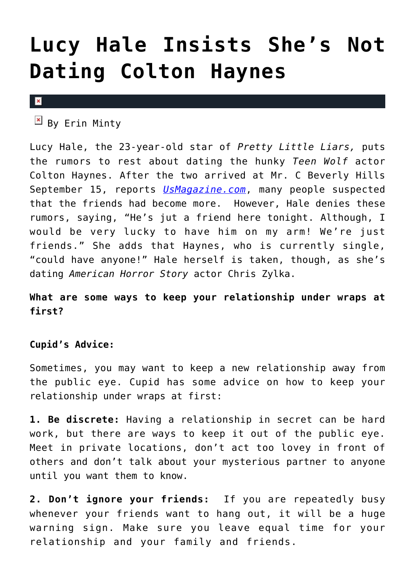## **[Lucy Hale Insists She's Not](https://cupidspulse.com/38331/lucy-hale-not-dating-colton-hanes/) [Dating Colton Haynes](https://cupidspulse.com/38331/lucy-hale-not-dating-colton-hanes/)**

#### $\vert \mathbf{x} \vert$

 $\mathbb{E}$  By Erin Minty

Lucy Hale, the 23-year-old star of *Pretty Little Liars,* puts the rumors to rest about dating the hunky *Teen Wolf* actor Colton Haynes. After the two arrived at Mr. C Beverly Hills September 15, reports *[UsMagazine.com](http://www.usmagazine.com/celebrity-news/news/lucy-hale-no-im-not-dating-colton-haynes-2012169)*, many people suspected that the friends had become more. However, Hale denies these rumors, saying, "He's jut a friend here tonight. Although, I would be very lucky to have him on my arm! We're just friends." She adds that Haynes, who is currently single, "could have anyone!" Hale herself is taken, though, as she's dating *American Horror Story* actor Chris Zylka.

### **What are some ways to keep your relationship under wraps at first?**

#### **Cupid's Advice:**

Sometimes, you may want to keep a new relationship away from the public eye. Cupid has some advice on how to keep your relationship under wraps at first:

**1. Be discrete:** Having a relationship in secret can be hard work, but there are ways to keep it out of the public eye. Meet in private locations, don't act too lovey in front of others and don't talk about your mysterious partner to anyone until you want them to know.

**2. Don't ignore your friends:** If you are repeatedly busy whenever your friends want to hang out, it will be a huge warning sign. Make sure you leave equal time for your relationship and your family and friends.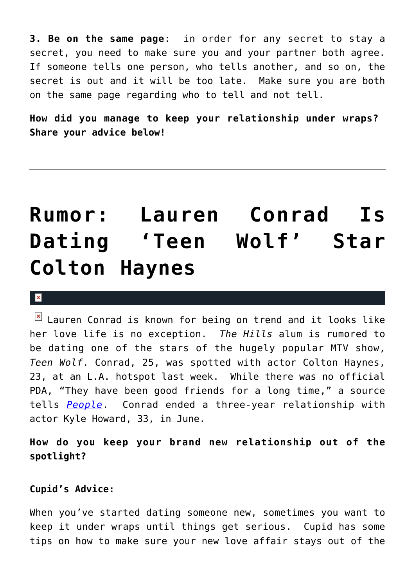**3. Be on the same page**: in order for any secret to stay a secret, you need to make sure you and your partner both agree. If someone tells one person, who tells another, and so on, the secret is out and it will be too late. Make sure you are both on the same page regarding who to tell and not tell.

**How did you manage to keep your relationship under wraps? Share your advice below!**

## **[Rumor: Lauren Conrad Is](https://cupidspulse.com/19620/rumor-lauren-conrad-dating-teen-wolf-star-colton-haynes-hills/) [Dating 'Teen Wolf' Star](https://cupidspulse.com/19620/rumor-lauren-conrad-dating-teen-wolf-star-colton-haynes-hills/) [Colton Haynes](https://cupidspulse.com/19620/rumor-lauren-conrad-dating-teen-wolf-star-colton-haynes-hills/)**

 $\mathbf x$ 

 $\boxed{\times}$  Lauren Conrad is known for being on trend and it looks like her love life is no exception. *The Hills* alum is rumored to be dating one of the stars of the hugely popular MTV show, *Teen Wolf*. Conrad, 25, was spotted with actor Colton Haynes, 23, at an L.A. hotspot last week. While there was no official PDA, "They have been good friends for a long time," a source tells *[People](http://www.people.com/people/article/0,,20523809,00.html)*. Conrad ended a three-year relationship with actor Kyle Howard, 33, in June.

**How do you keep your brand new relationship out of the spotlight?**

#### **Cupid's Advice:**

When you've started dating someone new, sometimes you want to keep it under wraps until things get serious. Cupid has some tips on how to make sure your new love affair stays out of the